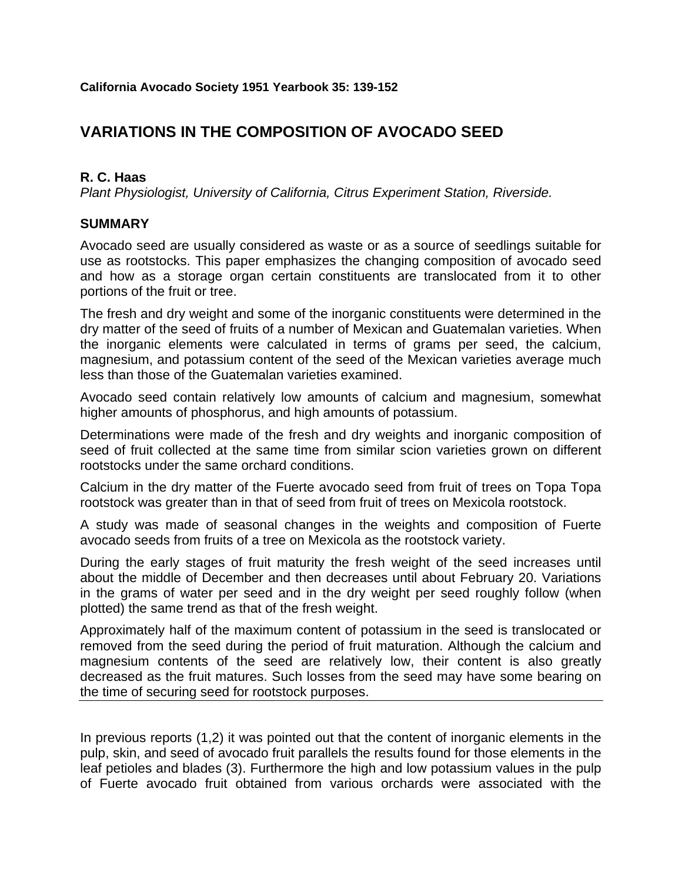# **VARIATIONS IN THE COMPOSITION OF AVOCADO SEED**

### **R. C. Haas**

*Plant Physiologist, University of California, Citrus Experiment Station, Riverside.*

#### **SUMMARY**

Avocado seed are usually considered as waste or as a source of seedlings suitable for use as rootstocks. This paper emphasizes the changing composition of avocado seed and how as a storage organ certain constituents are translocated from it to other portions of the fruit or tree.

The fresh and dry weight and some of the inorganic constituents were determined in the dry matter of the seed of fruits of a number of Mexican and Guatemalan varieties. When the inorganic elements were calculated in terms of grams per seed, the calcium, magnesium, and potassium content of the seed of the Mexican varieties average much less than those of the Guatemalan varieties examined.

Avocado seed contain relatively low amounts of calcium and magnesium, somewhat higher amounts of phosphorus, and high amounts of potassium.

Determinations were made of the fresh and dry weights and inorganic composition of seed of fruit collected at the same time from similar scion varieties grown on different rootstocks under the same orchard conditions.

Calcium in the dry matter of the Fuerte avocado seed from fruit of trees on Topa Topa rootstock was greater than in that of seed from fruit of trees on Mexicola rootstock.

A study was made of seasonal changes in the weights and composition of Fuerte avocado seeds from fruits of a tree on Mexicola as the rootstock variety.

During the early stages of fruit maturity the fresh weight of the seed increases until about the middle of December and then decreases until about February 20. Variations in the grams of water per seed and in the dry weight per seed roughly follow (when plotted) the same trend as that of the fresh weight.

Approximately half of the maximum content of potassium in the seed is translocated or removed from the seed during the period of fruit maturation. Although the calcium and magnesium contents of the seed are relatively low, their content is also greatly decreased as the fruit matures. Such losses from the seed may have some bearing on the time of securing seed for rootstock purposes.

In previous reports (1,2) it was pointed out that the content of inorganic elements in the pulp, skin, and seed of avocado fruit parallels the results found for those elements in the leaf petioles and blades (3). Furthermore the high and low potassium values in the pulp of Fuerte avocado fruit obtained from various orchards were associated with the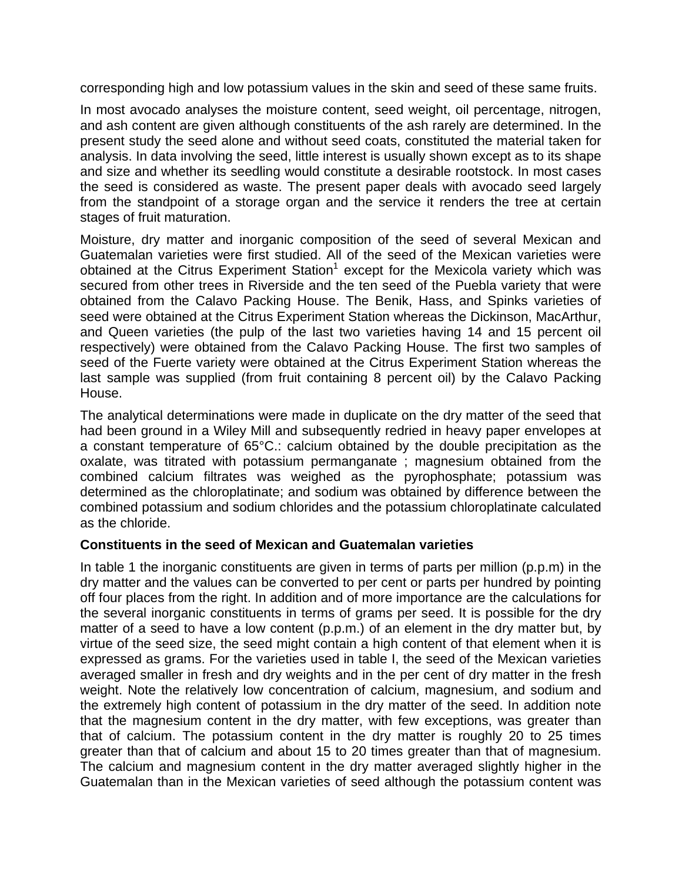corresponding high and low potassium values in the skin and seed of these same fruits.

In most avocado analyses the moisture content, seed weight, oil percentage, nitrogen, and ash content are given although constituents of the ash rarely are determined. In the present study the seed alone and without seed coats, constituted the material taken for analysis. In data involving the seed, little interest is usually shown except as to its shape and size and whether its seedling would constitute a desirable rootstock. In most cases the seed is considered as waste. The present paper deals with avocado seed largely from the standpoint of a storage organ and the service it renders the tree at certain stages of fruit maturation.

Moisture, dry matter and inorganic composition of the seed of several Mexican and Guatemalan varieties were first studied. All of the seed of the Mexican varieties were obtained at the Citrus Experiment Station<sup>1</sup> except for the Mexicola variety which was secured from other trees in Riverside and the ten seed of the Puebla variety that were obtained from the Calavo Packing House. The Benik, Hass, and Spinks varieties of seed were obtained at the Citrus Experiment Station whereas the Dickinson, MacArthur, and Queen varieties (the pulp of the last two varieties having 14 and 15 percent oil respectively) were obtained from the Calavo Packing House. The first two samples of seed of the Fuerte variety were obtained at the Citrus Experiment Station whereas the last sample was supplied (from fruit containing 8 percent oil) by the Calavo Packing House.

The analytical determinations were made in duplicate on the dry matter of the seed that had been ground in a Wiley Mill and subsequently redried in heavy paper envelopes at a constant temperature of 65°C.: calcium obtained by the double precipitation as the oxalate, was titrated with potassium permanganate ; magnesium obtained from the combined calcium filtrates was weighed as the pyrophosphate; potassium was determined as the chloroplatinate; and sodium was obtained by difference between the combined potassium and sodium chlorides and the potassium chloroplatinate calculated as the chloride.

#### **Constituents in the seed of Mexican and Guatemalan varieties**

In table 1 the inorganic constituents are given in terms of parts per million (p.p.m) in the dry matter and the values can be converted to per cent or parts per hundred by pointing off four places from the right. In addition and of more importance are the calculations for the several inorganic constituents in terms of grams per seed. It is possible for the dry matter of a seed to have a low content (p.p.m.) of an element in the dry matter but, by virtue of the seed size, the seed might contain a high content of that element when it is expressed as grams. For the varieties used in table I, the seed of the Mexican varieties averaged smaller in fresh and dry weights and in the per cent of dry matter in the fresh weight. Note the relatively low concentration of calcium, magnesium, and sodium and the extremely high content of potassium in the dry matter of the seed. In addition note that the magnesium content in the dry matter, with few exceptions, was greater than that of calcium. The potassium content in the dry matter is roughly 20 to 25 times greater than that of calcium and about 15 to 20 times greater than that of magnesium. The calcium and magnesium content in the dry matter averaged slightly higher in the Guatemalan than in the Mexican varieties of seed although the potassium content was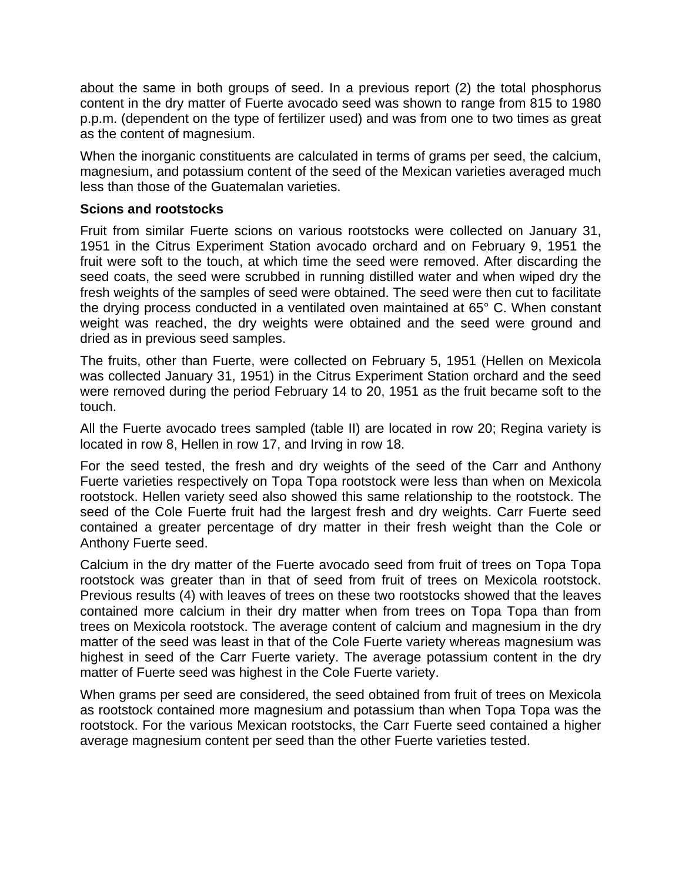about the same in both groups of seed. In a previous report (2) the total phosphorus content in the dry matter of Fuerte avocado seed was shown to range from 815 to 1980 p.p.m. (dependent on the type of fertilizer used) and was from one to two times as great as the content of magnesium.

When the inorganic constituents are calculated in terms of grams per seed, the calcium, magnesium, and potassium content of the seed of the Mexican varieties averaged much less than those of the Guatemalan varieties.

#### **Scions and rootstocks**

Fruit from similar Fuerte scions on various rootstocks were collected on January 31, 1951 in the Citrus Experiment Station avocado orchard and on February 9, 1951 the fruit were soft to the touch, at which time the seed were removed. After discarding the seed coats, the seed were scrubbed in running distilled water and when wiped dry the fresh weights of the samples of seed were obtained. The seed were then cut to facilitate the drying process conducted in a ventilated oven maintained at 65° C. When constant weight was reached, the dry weights were obtained and the seed were ground and dried as in previous seed samples.

The fruits, other than Fuerte, were collected on February 5, 1951 (Hellen on Mexicola was collected January 31, 1951) in the Citrus Experiment Station orchard and the seed were removed during the period February 14 to 20, 1951 as the fruit became soft to the touch.

All the Fuerte avocado trees sampled (table II) are located in row 20; Regina variety is located in row 8, Hellen in row 17, and Irving in row 18.

For the seed tested, the fresh and dry weights of the seed of the Carr and Anthony Fuerte varieties respectively on Topa Topa rootstock were less than when on Mexicola rootstock. Hellen variety seed also showed this same relationship to the rootstock. The seed of the Cole Fuerte fruit had the largest fresh and dry weights. Carr Fuerte seed contained a greater percentage of dry matter in their fresh weight than the Cole or Anthony Fuerte seed.

Calcium in the dry matter of the Fuerte avocado seed from fruit of trees on Topa Topa rootstock was greater than in that of seed from fruit of trees on Mexicola rootstock. Previous results (4) with leaves of trees on these two rootstocks showed that the leaves contained more calcium in their dry matter when from trees on Topa Topa than from trees on Mexicola rootstock. The average content of calcium and magnesium in the dry matter of the seed was least in that of the Cole Fuerte variety whereas magnesium was highest in seed of the Carr Fuerte variety. The average potassium content in the dry matter of Fuerte seed was highest in the Cole Fuerte variety.

When grams per seed are considered, the seed obtained from fruit of trees on Mexicola as rootstock contained more magnesium and potassium than when Topa Topa was the rootstock. For the various Mexican rootstocks, the Carr Fuerte seed contained a higher average magnesium content per seed than the other Fuerte varieties tested.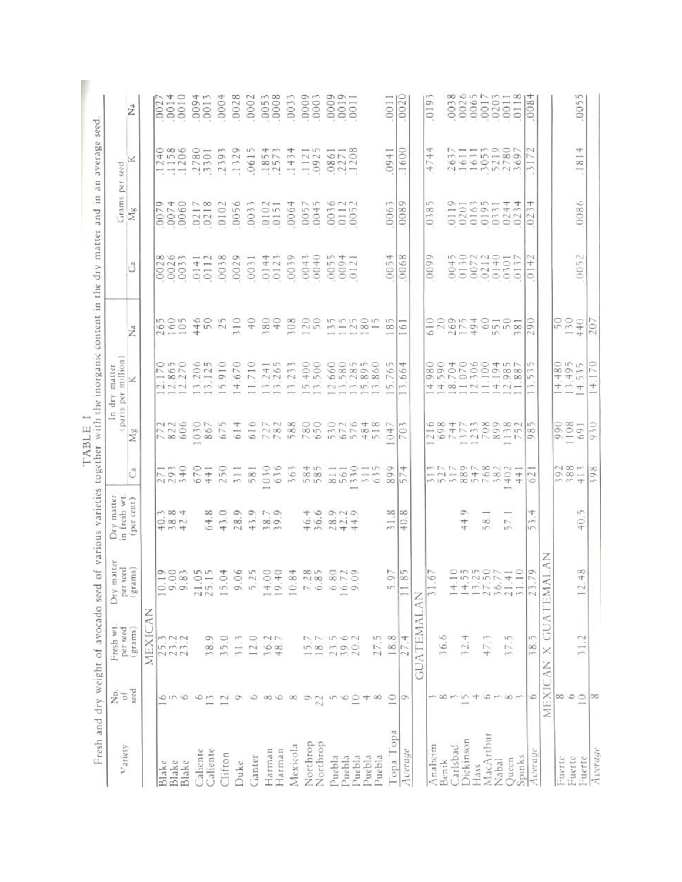| Variety           | ż<br>ď          | Fresh wt<br>per seed    | atter<br>per seed<br>Dry ma                         | Dry matter<br>in fresh wt.                                    |                                                   | parts per<br>$\Xi$<br>$\sim$                                                                                              | million<br>matter<br>dry                                                                               |                                                         |                                 | Grams per seed                 |                                         |                       |
|-------------------|-----------------|-------------------------|-----------------------------------------------------|---------------------------------------------------------------|---------------------------------------------------|---------------------------------------------------------------------------------------------------------------------------|--------------------------------------------------------------------------------------------------------|---------------------------------------------------------|---------------------------------|--------------------------------|-----------------------------------------|-----------------------|
|                   | seed            | $(\mathrm{grams})$      | $\left( \mathfrak{grams}\right)$                    | (per cent)                                                    | ű                                                 | bo<br>ź                                                                                                                   | ×                                                                                                      | ž                                                       | đ                               | $\rm\thinspace Mg$             | ⊻                                       | $\vec{\Sigma}$        |
|                   |                 | MEXICAN                 |                                                     |                                                               |                                                   |                                                                                                                           |                                                                                                        |                                                         |                                 |                                |                                         |                       |
| Blake             | ٥               |                         | $\frac{1}{2}$                                       |                                                               | 0.04                                              | 772<br>8226                                                                                                               | <b>PO</b><br>65                                                                                        | 265<br>1605                                             | œ<br>002                        | Ö<br>$\sim$<br>$\frac{1}{2}$   | $\frac{1156}{1150}$                     | 002                   |
| Blake             | m               | 25.3<br>23.22           |                                                     | 1004<br>$\overline{O}$ $\overline{O}$ $\overline{O}$<br>$+w+$ | $ \sim$ $\circ$<br>N                              |                                                                                                                           | $n \circ$<br>$-00N$<br>NNN                                                                             |                                                         | Om<br>002                       | 00060                          | $\circ$ $\circ$                         | 4<br>$\frac{1}{2}$    |
| Blake             | ó               |                         | 0.8                                                 |                                                               |                                                   |                                                                                                                           | $\sim$                                                                                                 |                                                         |                                 |                                |                                         | 0010                  |
| Caliente          | 6               |                         |                                                     |                                                               | 0<br>67                                           | 030                                                                                                                       | $06$<br>$25$<br>$\sim$<br>m, m                                                                         |                                                         | $\overline{\phantom{0}}$<br>014 | $\sim \infty$<br>.021          | .2780                                   | 0094                  |
| Caliente          | $\mathbf{r}$    | 38.9                    | 21.0                                                | $\infty$<br>4<br>6                                            | $\overline{+}$<br>÷                               | 867                                                                                                                       | $\qquad \qquad \longmapsto$                                                                            |                                                         | $\overline{011}$                |                                |                                         | 0013                  |
| Clifton           | 12              | 35.0                    | 15.                                                 | $\circ$<br>$\sim$<br>÷                                        |                                                   | S<br>67                                                                                                                   | 0<br>$\overline{\phantom{0}}$<br>ó<br>$\overline{5}$                                                   | 446<br>50<br>25<br>310                                  | 0038                            | .0102                          | ್<br>239                                | 0004                  |
| Duke              | σ               | 31.3                    | 00mmn + 0 m 00 + 00m 0N0<br>0.6                     | $\circ$<br>$\infty$<br>$\sim$                                 | 250<br>311                                        | 4<br>$\overline{6}$                                                                                                       | 0<br>67<br>+                                                                                           |                                                         | 0029                            | $\circ$<br>.005                | ó<br>.132                               | 0028                  |
| Ganter            | ٥               | Q<br>12.                | 5.2                                                 | ÷                                                             | 581                                               | 616                                                                                                                       | 0<br>$\longrightarrow$<br>$\sim$<br>$\overline{\phantom{m}}$                                           | $\frac{1}{2}$                                           | 0031                            | $\sim$<br>.003                 | m<br>.061                               | .0002                 |
| Harman            | $\infty$        | $\sim$<br>36.           | 4,                                                  | $7.9$<br>$6.7$<br>$9.7$<br>mm                                 | 030                                               |                                                                                                                           | $41$<br>65<br>$\sim$<br>m, m                                                                           | ${}^{60}_{60}$<br>$\sim$                                | 4.4<br>014                      | $.0102$<br>$.0151$             | 4.44<br>.185                            | 0053                  |
| Harman            | 6               | $+8.7$                  | $\overline{0}$                                      |                                                               |                                                   |                                                                                                                           | $\sim$                                                                                                 |                                                         | 012                             |                                |                                         |                       |
| Mexicola          | $\infty$        |                         | $\overline{10}$ .                                   |                                                               | 63<br>m <sub>10</sub>                             | 727<br>782<br>588                                                                                                         | m<br>m<br>$\sim$<br>$\sim$                                                                             | 308<br>120                                              | é<br>003                        | 0064                           | 士<br>43<br>$\overline{\phantom{a}}$     | 0033                  |
| Northrop          | G               | in,                     | 7.2                                                 |                                                               |                                                   |                                                                                                                           | 8<br>4                                                                                                 |                                                         | $0043$<br>$0040$                | $D - 10$<br>005                | $-10$<br>.112                           | 0009                  |
| Northrop          | 22              | 18.7                    | 6.8                                                 | $+ 0$<br>$\circ$                                              | $+70$<br>$\infty$                                 | 780                                                                                                                       | 8<br>S                                                                                                 |                                                         |                                 | 004                            |                                         |                       |
| Puebla            | 10              | 23.5                    | 6.8                                                 | O <sub>O</sub><br>$\infty$ $\sim$ $+$<br>45244                | 8110118                                           | 530248<br>5075848                                                                                                         | 660<br>no nonnon                                                                                       | mmmo                                                    | 0055<br>0094<br>0121            | 0N<br>003                      | $-$<br>Ö<br>08                          | 110000                |
| Puebla            | 6               | 39.6                    | 16.7                                                |                                                               |                                                   |                                                                                                                           | 000                                                                                                    |                                                         |                                 | $\frac{011}{005}$              | $\rightarrow \infty$<br>.227            |                       |
| Puebla            | $\overline{10}$ | $\sim$<br>20.           |                                                     |                                                               | <b>Since</b>                                      |                                                                                                                           | ONNO<br>10000                                                                                          | $m - N \infty -$<br>$\cdots$                            |                                 |                                |                                         |                       |
| Puebla            | 4               |                         |                                                     |                                                               |                                                   |                                                                                                                           | Ō,                                                                                                     |                                                         |                                 |                                |                                         |                       |
| Puebla            | $\infty$        | 27.5                    |                                                     |                                                               |                                                   |                                                                                                                           | 6                                                                                                      | <b>In</b>                                               |                                 |                                |                                         |                       |
| Topa<br>Topa      | $\overline{10}$ | 18.8                    | TS.<br>5.9                                          | œ<br>÷<br>m                                                   | Ó<br>ó<br>$\infty$                                | $\sim$<br>$^{+}$<br>$\overline{\phantom{a}}$                                                                              | m<br>6<br>$\sim$<br>m                                                                                  | 10 <sup>o</sup><br>$\infty$<br>$\overline{\phantom{a}}$ | 0054                            | 0063                           | 094                                     | 001                   |
| Average           | Ō               | Ħ<br>27                 | m<br>11.8                                           | $\infty$<br>0<br>÷                                            | ₩<br>$\sim$<br>lin.                               | $\sqrt{5}$<br>$\sim$                                                                                                      | ₩<br>6<br>0<br>m                                                                                       | 6<br>-                                                  | 0068                            | 0089                           | .1600                                   | 0020                  |
|                   |                 | <b>ATEMALAN</b><br>GU,  |                                                     |                                                               |                                                   |                                                                                                                           |                                                                                                        |                                                         |                                 |                                |                                         |                       |
| Anaheim           |                 |                         | $\sim$<br>31.6                                      |                                                               |                                                   | and a                                                                                                                     |                                                                                                        | ٥                                                       | 0099                            | m<br>$\infty$<br>$\frac{3}{2}$ | 4<br>4<br>$-1$<br>4                     | 019                   |
| Benik             | $\infty$        | 36.6                    |                                                     |                                                               | MADANONN-<br>$-7 - 00 + 000 +$<br>min moon Nm + + | 0x17399x15<br>$\wedge$                                                                                                    | $+ + \infty - \sim - + \sim -$                                                                         | 129540102                                               |                                 |                                |                                         |                       |
| Carlsbad          | $\sim$          |                         | $^{+}$                                              |                                                               |                                                   |                                                                                                                           |                                                                                                        |                                                         |                                 | ా<br>$\overline{11}$           |                                         | $\infty$<br>003       |
| Dickinson         | m               | Ħ<br>32.                | u<br>$\frac{4}{3}$                                  | ₽<br>+<br>+                                                   |                                                   | $\frac{1}{2} \left( \frac{1}{2} \right) \left( \frac{1}{2} \right) \left( \frac{1}{2} \right) \left( \frac{1}{2} \right)$ |                                                                                                        | $\sim - +$                                              | 0045<br>0130<br>00712<br>002112 | $-$ w $-$ 4                    |                                         | $OMM -$<br>002        |
| MacArthur<br>Hass | ۴<br>Ħ          | 47.3                    | 13.2                                                | $\infty$<br>in                                                |                                                   |                                                                                                                           |                                                                                                        |                                                         |                                 |                                |                                         | $\overline{001}$      |
| Nabal             | m               |                         | 36.7                                                |                                                               |                                                   |                                                                                                                           |                                                                                                        | $10^{\circ}$                                            |                                 |                                |                                         | .020                  |
| Queen             |                 | S<br>37.                | $0 \cup 0 \cup 0$                                   | $\sim$<br>in                                                  |                                                   | $-$                                                                                                                       |                                                                                                        |                                                         | 007140<br>0021140<br>000000     | 016711                         | レーーをののア<br>161631780                    | $\frac{001}{0111}$    |
| Spinks            | 00 <sub>m</sub> |                         | $\frac{21.4}{31.1}$                                 |                                                               |                                                   |                                                                                                                           |                                                                                                        | - per                                                   |                                 | +                              |                                         | $\infty$              |
| Average           | 6               | ۱r<br>$\frac{8}{3}$     | 23.                                                 | +<br>m<br>lun.                                                | 2<br>6                                            | $\circ$                                                                                                                   | m<br>m<br>LO<br>$\sim$                                                                                 | O<br>G<br>$\sim$                                        | N<br>₩<br>O                     | Ħ<br>S<br>02                   | $\sim$<br>$\sim$<br>$\overline{ }$<br>m | ₩<br>008              |
|                   | XICAN<br>ME.    | ×                       | Ζ<br>¢,<br><b>GUATEMA</b>                           |                                                               |                                                   |                                                                                                                           |                                                                                                        |                                                         |                                 |                                |                                         |                       |
| -uerte            | œ               |                         |                                                     |                                                               |                                                   |                                                                                                                           |                                                                                                        |                                                         |                                 |                                |                                         |                       |
| uerte-            | 6               |                         |                                                     |                                                               | $\sim$ 00 $\sim$<br>$780 + 100$                   | 1691<br>1001<br>066                                                                                                       | $14.480$<br>$13.495$<br>$4.535$<br>$\frac{1}{2} \left( \frac{1}{2} \right) \left( \frac{1}{2} \right)$ | $\frac{50}{130}$                                        |                                 |                                |                                         |                       |
| Fuerte            | $\subseteq$     | $\sim$<br>$\frac{1}{2}$ | $\infty$<br>4<br>$\sim$<br>$\overline{\phantom{a}}$ | S<br>0<br>+                                                   |                                                   |                                                                                                                           |                                                                                                        |                                                         | 0052                            | 0086                           | 4<br>$\overline{8}$<br>$\leftarrow$     | S<br>005 <sup>1</sup> |
| Average           | $\infty$        |                         |                                                     |                                                               | $\infty$<br>59                                    | 930                                                                                                                       | $\overline{70}$<br>÷<br>÷                                                                              | 20                                                      |                                 |                                |                                         |                       |
|                   |                 |                         |                                                     |                                                               |                                                   |                                                                                                                           |                                                                                                        |                                                         |                                 |                                |                                         |                       |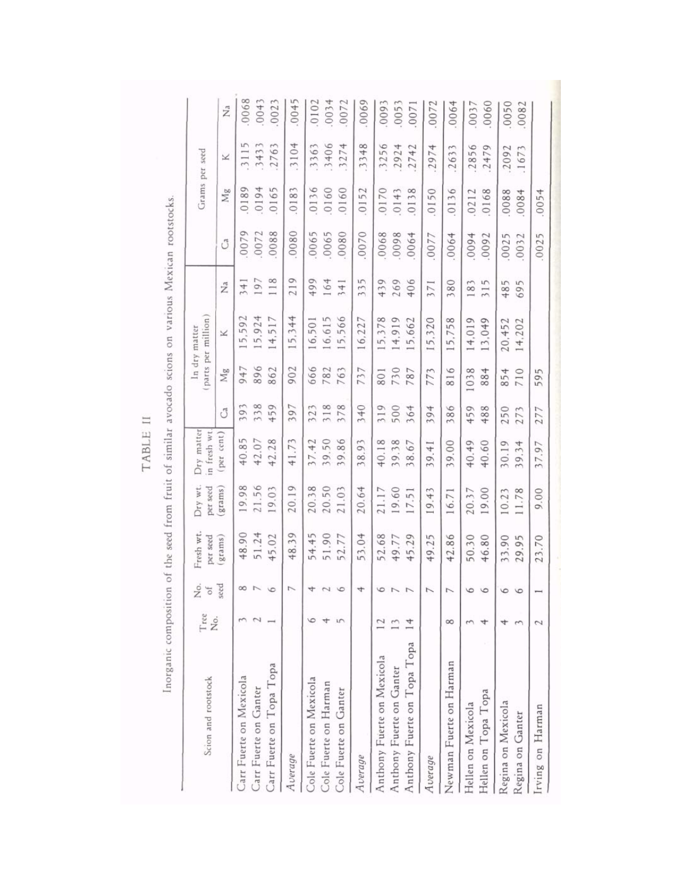| Scion and rootstock         | Tree<br>Ź.    | $2^{\circ}$ | Fresh wt.<br>per seed | Dry wt<br>per seed | Dry matter<br>in fresh wt |     |      | parts per million<br>In dry matter |     |       |       | Grams per seed     |                   |
|-----------------------------|---------------|-------------|-----------------------|--------------------|---------------------------|-----|------|------------------------------------|-----|-------|-------|--------------------|-------------------|
|                             |               | seed        | grams)                | grams)             | per cent)                 | ී   | Mg   | ×                                  | Z   | Ĉ     | Mg    | ×                  | Z                 |
| Carr Fuerte on Mexicola     |               |             | 48.90                 | 19.98              | 40.85                     | 393 | 947  | 5,592                              | 341 | 0079  | 0189  | Щ<br>$\frac{1}{2}$ | 0068              |
| Carr Fuerte on Ganter       |               |             | 51.24                 | 21.56              | 42.07                     | 338 | 896  | 5,924                              | 197 | .0072 | .0194 | .3433              | 0043              |
| Carr Fuerte on Topa Topa    |               |             | 45.02                 | 19.03              | 42.28                     | 459 | 862  | 4,517                              | 118 | 0088  | .0165 | 2763               | 0023              |
| Average                     |               |             | 48.39                 | 20.19              | 41.73                     | 397 | 902  | 15,344                             | 219 | .0800 | .0183 | .3104              | .0045             |
| Cole Fuerte on Mexicola     |               |             | 54.45                 | 20.38              | 37.42                     | 323 | 666  | 16,501                             | 499 | .0065 | .0136 | .3363              | 0102              |
| Cole Fuerte on Harman       |               |             | 51.90                 | 20.50              | 39.50                     | 318 | 782  | 6.615                              | 164 | .0065 | .0160 | .3406              | .0034             |
| Cole Fuerte on Ganter       | S             |             | 52.77                 | 21.03              | 39.86                     | 378 | 763  | 5,566                              | 341 | 0800  | .0160 | .3274              | .0072             |
| Average                     |               |             | 53.04                 | 20.64              | 38.93                     | 340 | 737  | 6,227                              | 335 | .0070 | .0152 | .3348              | .0069             |
| Anthony Fuerte on Mexicola  |               |             | 52.68                 | 21.17              | 40.18                     | 319 | 801  | 5,378                              | 439 | .0068 | .0170 | .3256              | 0093              |
| Anthony Fuerte on Ganter    |               |             | 49.77                 | 19.60              | 39.38                     | 500 | 730  | 4,919                              | 269 | 8600  | .0143 | .2924              | .005 <sub>3</sub> |
| Anthony Fuerte on Topa Topa | $\frac{4}{3}$ |             | 45.29                 | 17.51              | 38.67                     | 364 | 787  | 15,662                             | 406 | 0064  | .0138 | .2742              | .007              |
| Average                     |               |             | 49.25                 | 19.43              | 39.41                     | 394 | 773  | 15,320                             | 371 | 0077  | .0150 | .2974              | 0072              |
| Newman Fuerte on Harman     | 8             |             | 42.86                 | 16.71              | 39.00                     | 386 | 816  | 15.758                             | 380 | 0064  | 0136  | 2633               | .0064             |
| Hellen on Mexicola          |               |             | 50.30                 | 20.37              | 40.49                     | 459 | 1038 | 14,019                             | 183 | +600  | .0212 | .2856              | .0037             |
| Hellen on Topa Topa         | 4             |             | 46.80                 | 19.00              | 40.60                     | 488 | 884  | 13,049                             | 315 | .0092 | .0168 | 2479               | 0060              |
| Regina on Mexicola          |               |             | 33.90                 | 10.23              | 30.19                     | 250 | 854  | 20,452                             | 485 | 0025  | .0088 | .2092              | .0050             |
| Regina on Ganter            |               |             | 29.95                 | 11.78              | 39.34                     | 273 | 710  | 14,202                             | 695 | .0032 | 0084  | 1673               | .0082             |
| Irving on Harman            | 2             |             | 23.70                 | 9.00               | 37.97                     | 277 | 595  |                                    |     | .0025 | .0054 |                    |                   |

TABLE II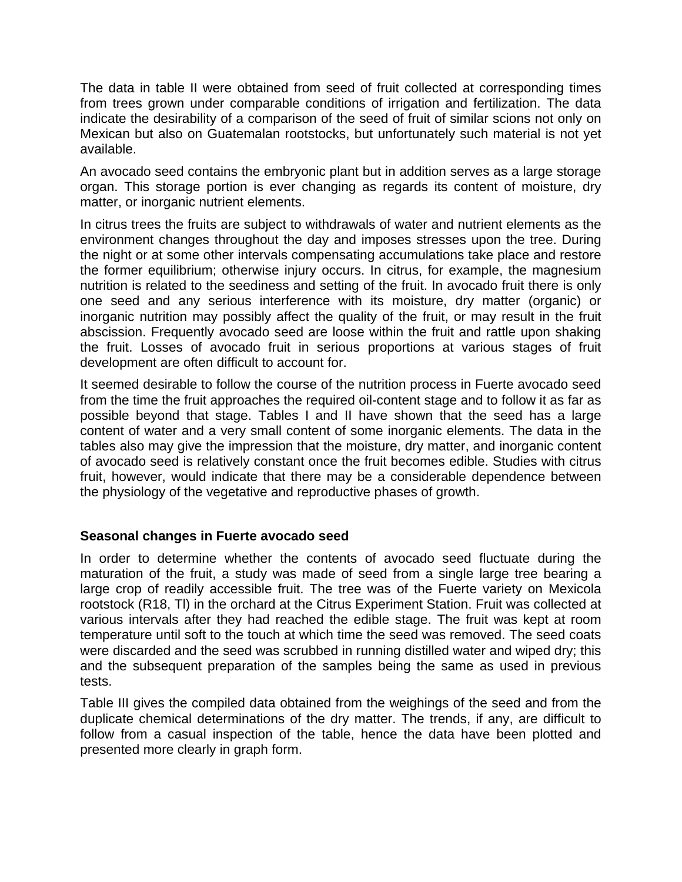The data in table II were obtained from seed of fruit collected at corresponding times from trees grown under comparable conditions of irrigation and fertilization. The data indicate the desirability of a comparison of the seed of fruit of similar scions not only on Mexican but also on Guatemalan rootstocks, but unfortunately such material is not yet available.

An avocado seed contains the embryonic plant but in addition serves as a large storage organ. This storage portion is ever changing as regards its content of moisture, dry matter, or inorganic nutrient elements.

In citrus trees the fruits are subject to withdrawals of water and nutrient elements as the environment changes throughout the day and imposes stresses upon the tree. During the night or at some other intervals compensating accumulations take place and restore the former equilibrium; otherwise injury occurs. In citrus, for example, the magnesium nutrition is related to the seediness and setting of the fruit. In avocado fruit there is only one seed and any serious interference with its moisture, dry matter (organic) or inorganic nutrition may possibly affect the quality of the fruit, or may result in the fruit abscission. Frequently avocado seed are loose within the fruit and rattle upon shaking the fruit. Losses of avocado fruit in serious proportions at various stages of fruit development are often difficult to account for.

It seemed desirable to follow the course of the nutrition process in Fuerte avocado seed from the time the fruit approaches the required oil-content stage and to follow it as far as possible beyond that stage. Tables I and II have shown that the seed has a large content of water and a very small content of some inorganic elements. The data in the tables also may give the impression that the moisture, dry matter, and inorganic content of avocado seed is relatively constant once the fruit becomes edible. Studies with citrus fruit, however, would indicate that there may be a considerable dependence between the physiology of the vegetative and reproductive phases of growth.

#### **Seasonal changes in Fuerte avocado seed**

In order to determine whether the contents of avocado seed fluctuate during the maturation of the fruit, a study was made of seed from a single large tree bearing a large crop of readily accessible fruit. The tree was of the Fuerte variety on Mexicola rootstock (R18, Tl) in the orchard at the Citrus Experiment Station. Fruit was collected at various intervals after they had reached the edible stage. The fruit was kept at room temperature until soft to the touch at which time the seed was removed. The seed coats were discarded and the seed was scrubbed in running distilled water and wiped dry; this and the subsequent preparation of the samples being the same as used in previous tests.

Table III gives the compiled data obtained from the weighings of the seed and from the duplicate chemical determinations of the dry matter. The trends, if any, are difficult to follow from a casual inspection of the table, hence the data have been plotted and presented more clearly in graph form.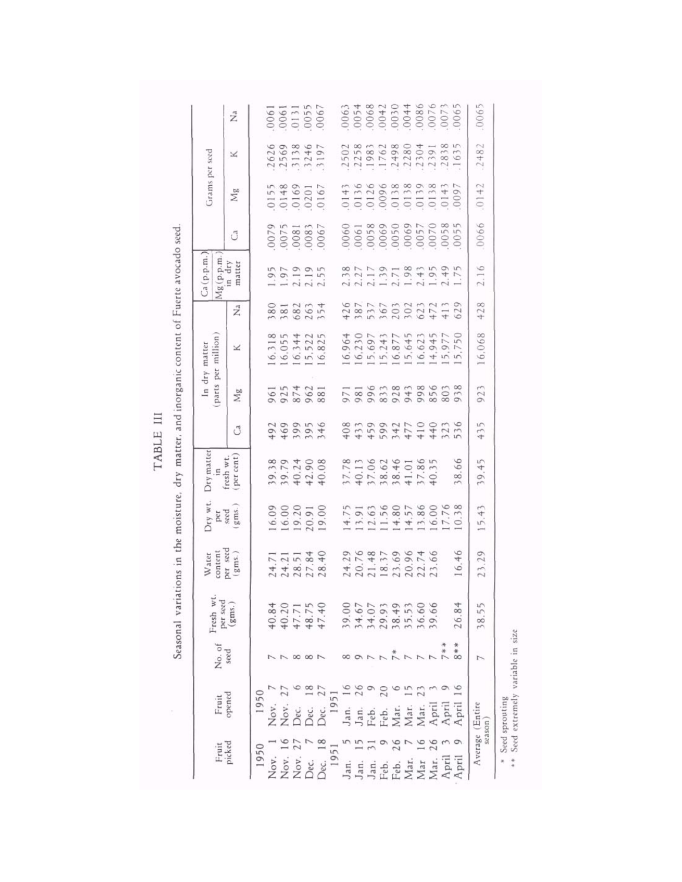| .0065<br>$\begin{array}{c} 0.0061 \\ 0.0061 \\ 0.131 \\ 0.055 \\ 0.067 \end{array}$<br>$\tilde{Z}$<br>2482<br>2502<br>2258<br>1983<br>1762<br>2498<br>1635<br>2626<br>2569<br>3138<br>3197<br>2280<br>2304<br>2391<br>⊻<br>.0142<br>0143<br>01366 0138<br>0138 0138 0141<br>0141 0158 0161<br>0141 0152<br>0155<br>0148<br>01601<br>0167<br>0167<br>$M_g$<br>0066<br>0079<br>18000<br>180000<br>19000<br>19000<br>Ĵ<br>Mg(p.p.m<br>in dry<br>matter<br>2.16<br>$1.95$<br>$1.97$<br>$2.19$<br>$2.55$<br>428<br>388254<br>588254<br>$\tilde{\mathbf{Z}}$<br>16.068<br>$\begin{array}{cccc} 6.318 \\ 6.055 \\ 6.344 \\ 6.522 \\ 6.825 \end{array}$<br>16,230<br>15,697<br>16,877<br>16,877<br>15,645<br>$16.623$<br>$14.945$<br>$15.977$<br>$15.750$<br>16.964<br>×<br>923<br>96142<br>92542<br>9881<br>Mg<br>435<br>199954<br>140954<br>ී<br>per cent<br>in<br>fresh wt.<br>38.66<br>39.45<br>37.78<br>40.13<br>40.6246<br>538.461<br>40.35<br>40.35<br>$39.74008$<br>$39.74008$<br>$39.74008$<br>0.38<br>15.43<br>11.56<br>4.80<br>14.57<br>15.86<br>17.76<br>$\begin{array}{l} 16.09 \\ 16.00 \\ 19.20 \\ 20.91 \\ 19.00 \end{array}$<br>14.75<br>13.91<br>gms.<br>Per<br>seed<br>Der seed<br>6.46<br>23.29<br>$\left( \, \text{gms.} \, \right)$<br>24.29<br>20.748<br>20.35.96<br>20.22.23<br>20.23.23<br>$^{40}$<br>24.71<br>24.21<br>28.51<br>27.84<br>28.<br>per seed<br>$\left( \mathrm{gms.}\right)$<br>26.84<br>38.55<br>40.84<br>40.20<br>39.66<br>34.67<br>47.7<br>36.6<br>38.4<br>34.0<br>29.9<br>48.7<br>8**<br>$7*$<br>seed<br>∞<br>$\infty$<br>1950<br>opened<br>1951<br>Average (Entire<br>April<br>April<br>April<br>Nov.<br>$\rm{Nov}$<br>$\rm{Mar}$<br>$\rm{Max}$<br>Jan.<br>Vlat<br>Sec<br>Jan<br>Feb<br>$\sum$ ec<br>$\epsilon$ b<br>λες<br>season<br>Fruit<br>picked<br>1951<br>1950<br>Jec. |       | Fruit | No. of | Fresh wt. | content<br>Water | Jry wt. | Dry matter |  | parts per million<br>In dry matter | Ca (p.p.m. | Grams per seed |  |
|-------------------------------------------------------------------------------------------------------------------------------------------------------------------------------------------------------------------------------------------------------------------------------------------------------------------------------------------------------------------------------------------------------------------------------------------------------------------------------------------------------------------------------------------------------------------------------------------------------------------------------------------------------------------------------------------------------------------------------------------------------------------------------------------------------------------------------------------------------------------------------------------------------------------------------------------------------------------------------------------------------------------------------------------------------------------------------------------------------------------------------------------------------------------------------------------------------------------------------------------------------------------------------------------------------------------------------------------------------------------------------------------------------------------------------------------------------------------------------------------------------------------------------------------------------------------------------------------------------------------------------------------------------------------------------------------------------------------------------------------------------------------------------------------------------------------|-------|-------|--------|-----------|------------------|---------|------------|--|------------------------------------|------------|----------------|--|
| Vlar                                                                                                                                                                                                                                                                                                                                                                                                                                                                                                                                                                                                                                                                                                                                                                                                                                                                                                                                                                                                                                                                                                                                                                                                                                                                                                                                                                                                                                                                                                                                                                                                                                                                                                                                                                                                              |       |       |        |           |                  |         |            |  |                                    |            |                |  |
| Nov.<br>Vlar<br>Jec.                                                                                                                                                                                                                                                                                                                                                                                                                                                                                                                                                                                                                                                                                                                                                                                                                                                                                                                                                                                                                                                                                                                                                                                                                                                                                                                                                                                                                                                                                                                                                                                                                                                                                                                                                                                              |       |       |        |           |                  |         |            |  |                                    |            |                |  |
| Nov<br>Nov<br>Feb.                                                                                                                                                                                                                                                                                                                                                                                                                                                                                                                                                                                                                                                                                                                                                                                                                                                                                                                                                                                                                                                                                                                                                                                                                                                                                                                                                                                                                                                                                                                                                                                                                                                                                                                                                                                                |       |       |        |           |                  |         |            |  |                                    |            |                |  |
|                                                                                                                                                                                                                                                                                                                                                                                                                                                                                                                                                                                                                                                                                                                                                                                                                                                                                                                                                                                                                                                                                                                                                                                                                                                                                                                                                                                                                                                                                                                                                                                                                                                                                                                                                                                                                   |       |       |        |           |                  |         |            |  |                                    |            |                |  |
|                                                                                                                                                                                                                                                                                                                                                                                                                                                                                                                                                                                                                                                                                                                                                                                                                                                                                                                                                                                                                                                                                                                                                                                                                                                                                                                                                                                                                                                                                                                                                                                                                                                                                                                                                                                                                   |       |       |        |           |                  |         |            |  |                                    |            |                |  |
|                                                                                                                                                                                                                                                                                                                                                                                                                                                                                                                                                                                                                                                                                                                                                                                                                                                                                                                                                                                                                                                                                                                                                                                                                                                                                                                                                                                                                                                                                                                                                                                                                                                                                                                                                                                                                   |       |       |        |           |                  |         |            |  |                                    |            |                |  |
| Jan.<br>Mar<br>Feb.                                                                                                                                                                                                                                                                                                                                                                                                                                                                                                                                                                                                                                                                                                                                                                                                                                                                                                                                                                                                                                                                                                                                                                                                                                                                                                                                                                                                                                                                                                                                                                                                                                                                                                                                                                                               |       |       |        |           |                  |         |            |  |                                    |            |                |  |
|                                                                                                                                                                                                                                                                                                                                                                                                                                                                                                                                                                                                                                                                                                                                                                                                                                                                                                                                                                                                                                                                                                                                                                                                                                                                                                                                                                                                                                                                                                                                                                                                                                                                                                                                                                                                                   |       |       |        |           |                  |         |            |  |                                    |            |                |  |
|                                                                                                                                                                                                                                                                                                                                                                                                                                                                                                                                                                                                                                                                                                                                                                                                                                                                                                                                                                                                                                                                                                                                                                                                                                                                                                                                                                                                                                                                                                                                                                                                                                                                                                                                                                                                                   |       |       |        |           |                  |         |            |  |                                    |            |                |  |
| Jan.                                                                                                                                                                                                                                                                                                                                                                                                                                                                                                                                                                                                                                                                                                                                                                                                                                                                                                                                                                                                                                                                                                                                                                                                                                                                                                                                                                                                                                                                                                                                                                                                                                                                                                                                                                                                              | Jan   |       |        |           |                  |         |            |  |                                    |            |                |  |
|                                                                                                                                                                                                                                                                                                                                                                                                                                                                                                                                                                                                                                                                                                                                                                                                                                                                                                                                                                                                                                                                                                                                                                                                                                                                                                                                                                                                                                                                                                                                                                                                                                                                                                                                                                                                                   |       |       |        |           |                  |         |            |  |                                    |            |                |  |
|                                                                                                                                                                                                                                                                                                                                                                                                                                                                                                                                                                                                                                                                                                                                                                                                                                                                                                                                                                                                                                                                                                                                                                                                                                                                                                                                                                                                                                                                                                                                                                                                                                                                                                                                                                                                                   |       |       |        |           |                  |         |            |  |                                    |            |                |  |
|                                                                                                                                                                                                                                                                                                                                                                                                                                                                                                                                                                                                                                                                                                                                                                                                                                                                                                                                                                                                                                                                                                                                                                                                                                                                                                                                                                                                                                                                                                                                                                                                                                                                                                                                                                                                                   |       |       |        |           |                  |         |            |  |                                    |            |                |  |
| April                                                                                                                                                                                                                                                                                                                                                                                                                                                                                                                                                                                                                                                                                                                                                                                                                                                                                                                                                                                                                                                                                                                                                                                                                                                                                                                                                                                                                                                                                                                                                                                                                                                                                                                                                                                                             |       |       |        |           |                  |         |            |  |                                    |            |                |  |
|                                                                                                                                                                                                                                                                                                                                                                                                                                                                                                                                                                                                                                                                                                                                                                                                                                                                                                                                                                                                                                                                                                                                                                                                                                                                                                                                                                                                                                                                                                                                                                                                                                                                                                                                                                                                                   |       |       |        |           |                  |         |            |  |                                    |            |                |  |
|                                                                                                                                                                                                                                                                                                                                                                                                                                                                                                                                                                                                                                                                                                                                                                                                                                                                                                                                                                                                                                                                                                                                                                                                                                                                                                                                                                                                                                                                                                                                                                                                                                                                                                                                                                                                                   |       |       |        |           |                  |         |            |  |                                    |            |                |  |
|                                                                                                                                                                                                                                                                                                                                                                                                                                                                                                                                                                                                                                                                                                                                                                                                                                                                                                                                                                                                                                                                                                                                                                                                                                                                                                                                                                                                                                                                                                                                                                                                                                                                                                                                                                                                                   |       |       |        |           |                  |         |            |  |                                    |            |                |  |
|                                                                                                                                                                                                                                                                                                                                                                                                                                                                                                                                                                                                                                                                                                                                                                                                                                                                                                                                                                                                                                                                                                                                                                                                                                                                                                                                                                                                                                                                                                                                                                                                                                                                                                                                                                                                                   | April |       |        |           |                  |         |            |  |                                    |            |                |  |
|                                                                                                                                                                                                                                                                                                                                                                                                                                                                                                                                                                                                                                                                                                                                                                                                                                                                                                                                                                                                                                                                                                                                                                                                                                                                                                                                                                                                                                                                                                                                                                                                                                                                                                                                                                                                                   |       |       |        |           |                  |         |            |  |                                    |            |                |  |

TABLE III

\* Seed sprouting<br>\*\* Seed extremely variable in size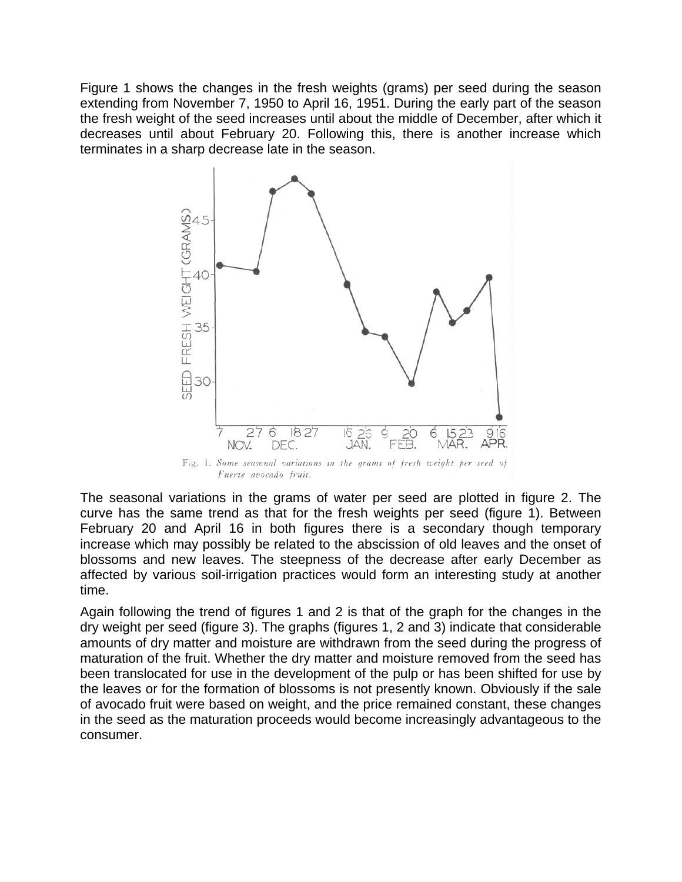Figure 1 shows the changes in the fresh weights (grams) per seed during the season extending from November 7, 1950 to April 16, 1951. During the early part of the season the fresh weight of the seed increases until about the middle of December, after which it decreases until about February 20. Following this, there is another increase which terminates in a sharp decrease late in the season.



The seasonal variations in the grams of water per seed are plotted in figure 2. The curve has the same trend as that for the fresh weights per seed (figure 1). Between February 20 and April 16 in both figures there is a secondary though temporary increase which may possibly be related to the abscission of old leaves and the onset of blossoms and new leaves. The steepness of the decrease after early December as affected by various soil-irrigation practices would form an interesting study at another time.

Again following the trend of figures 1 and 2 is that of the graph for the changes in the dry weight per seed (figure 3). The graphs (figures 1, 2 and 3) indicate that considerable amounts of dry matter and moisture are withdrawn from the seed during the progress of maturation of the fruit. Whether the dry matter and moisture removed from the seed has been translocated for use in the development of the pulp or has been shifted for use by the leaves or for the formation of blossoms is not presently known. Obviously if the sale of avocado fruit were based on weight, and the price remained constant, these changes in the seed as the maturation proceeds would become increasingly advantageous to the consumer.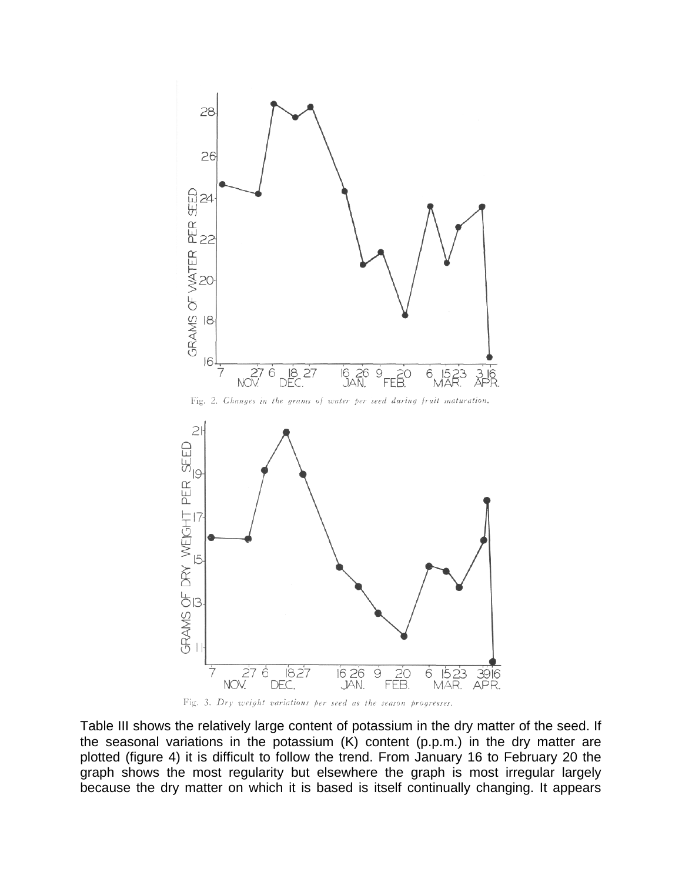

Fig. 3. Dry weight variations per seed as the season progresses.

Table III shows the relatively large content of potassium in the dry matter of the seed. If the seasonal variations in the potassium (K) content (p.p.m.) in the dry matter are plotted (figure 4) it is difficult to follow the trend. From January 16 to February 20 the graph shows the most regularity but elsewhere the graph is most irregular largely because the dry matter on which it is based is itself continually changing. It appears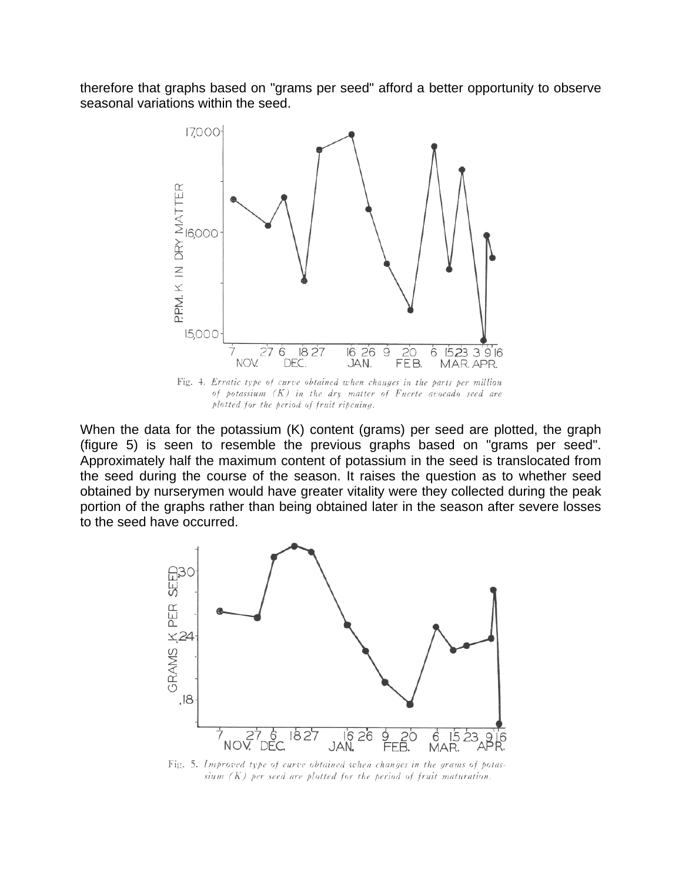therefore that graphs based on "grams per seed" afford a better opportunity to observe seasonal variations within the seed.



Fig. 4. Erratic type of curve obtained when changes in the parts per million of potassium  $(K)$  in the dry matter of Fuerte avocado seed are plotted for the period of fruit ripening.

When the data for the potassium (K) content (grams) per seed are plotted, the graph (figure 5) is seen to resemble the previous graphs based on "grams per seed". Approximately half the maximum content of potassium in the seed is translocated from the seed during the course of the season. It raises the question as to whether seed obtained by nurserymen would have greater vitality were they collected during the peak portion of the graphs rather than being obtained later in the season after severe losses to the seed have occurred.



Fig. 5. Improved type of curve obtained when changes in the grams of potassium  $(K)$  per seed are plotted for the period of fruit maturation.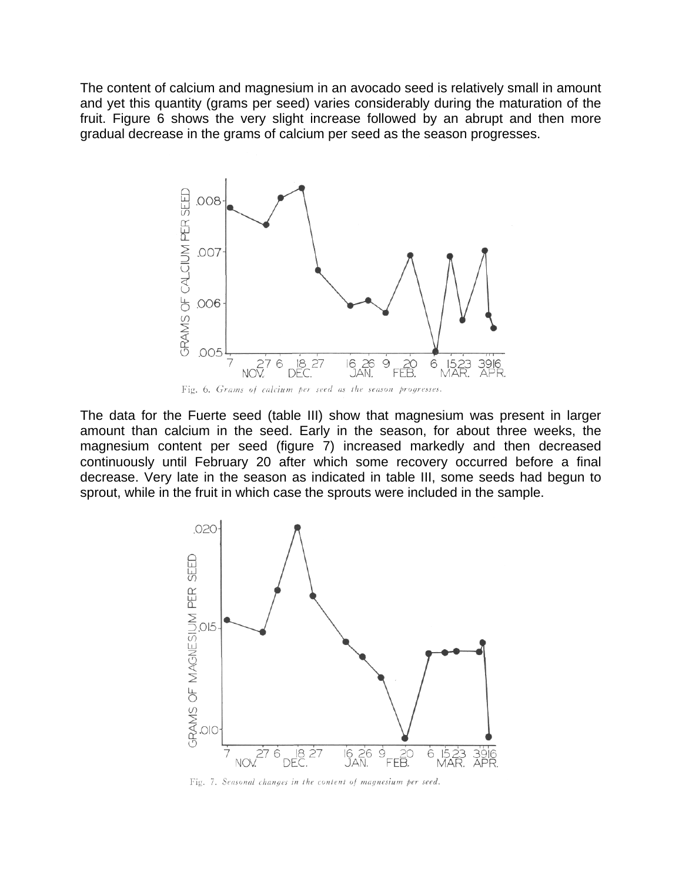The content of calcium and magnesium in an avocado seed is relatively small in amount and yet this quantity (grams per seed) varies considerably during the maturation of the fruit. Figure 6 shows the very slight increase followed by an abrupt and then more gradual decrease in the grams of calcium per seed as the season progresses.



The data for the Fuerte seed (table III) show that magnesium was present in larger amount than calcium in the seed. Early in the season, for about three weeks, the magnesium content per seed (figure 7) increased markedly and then decreased continuously until February 20 after which some recovery occurred before a final decrease. Very late in the season as indicated in table III, some seeds had begun to sprout, while in the fruit in which case the sprouts were included in the sample.



Fig. 7. Seasonal changes in the content of magnesium per seed.